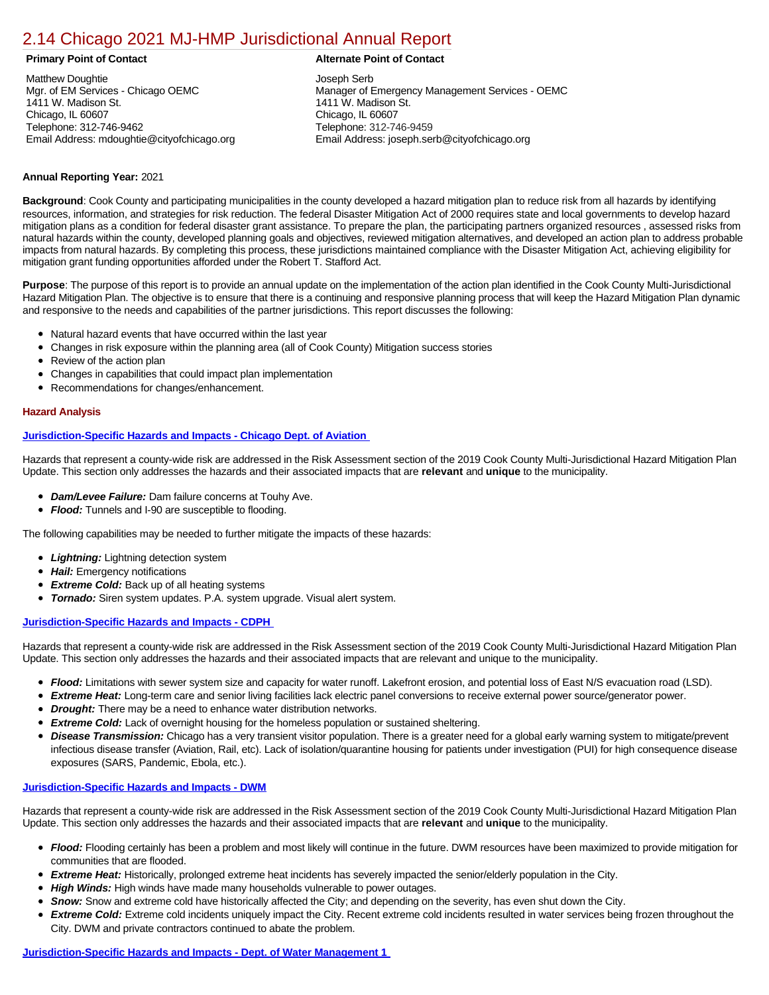# [2.14 Chicago 2021 MJ-HMP Jurisdictional Annual Report](https://chicago.isc-cemp.com/Cemp/Details?id=8322725)

Matthew Doughtie Mgr. of EM Services - Chicago OEMC 1411 W. Madison St. Chicago, IL 60607 Telephone: 312-746-9462 Email Address: mdoughtie@cityofchicago.org

## **Primary Point of Contact Alternate Point of Contact**

Joseph Serb Manager of Emergency Management Services - OEMC 1411 W. Madison St. Chicago, IL 60607 Telephone: 312-746-9459 Email Address: joseph.serb@cityofchicago.org

## **Annual Reporting Year:** 2021

**Background**: Cook County and participating municipalities in the county developed a hazard mitigation plan to reduce risk from all hazards by identifying resources, information, and strategies for risk reduction. The federal Disaster Mitigation Act of 2000 requires state and local governments to develop hazard mitigation plans as a condition for federal disaster grant assistance. To prepare the plan, the participating partners organized resources , assessed risks from natural hazards within the county, developed planning goals and objectives, reviewed mitigation alternatives, and developed an action plan to address probable impacts from natural hazards. By completing this process, these jurisdictions maintained compliance with the Disaster Mitigation Act, achieving eligibility for mitigation grant funding opportunities afforded under the Robert T. Stafford Act.

**Purpose**: The purpose of this report is to provide an annual update on the implementation of the action plan identified in the Cook County Multi-Jurisdictional Hazard Mitigation Plan. The objective is to ensure that there is a continuing and responsive planning process that will keep the Hazard Mitigation Plan dynamic and responsive to the needs and capabilities of the partner jurisdictions. This report discusses the following:

- Natural hazard events that have occurred within the last year
- Changes in risk exposure within the planning area (all of Cook County) Mitigation success stories
- Review of the action plan
- Changes in capabilities that could impact plan implementation
- Recommendations for changes/enhancement.

## **Hazard Analysis**

## **[Jurisdiction-Specific Hazards and Impacts - Chicago Dept. of Aviation](https://chicago.isc-cemp.com/FileOut/cemp/642/files/2019%20HMP%20Chicago/Chicago%20Dept%20of%20Aviation.pdf/)**

Hazards that represent a county-wide risk are addressed in the Risk Assessment section of the 2019 Cook County Multi-Jurisdictional Hazard Mitigation Plan Update. This section only addresses the hazards and their associated impacts that are **relevant** and **unique** to the municipality.

- *Dam/Levee Failure:* Dam failure concerns at Touhy Ave.
- *Flood:* Tunnels and I-90 are susceptible to flooding.

The following capabilities may be needed to further mitigate the impacts of these hazards:

- *Lightning:* Lightning detection system
- *Hail:* Emergency notifications
- *Extreme Cold:* Back up of all heating systems
- *Tornado:* Siren system updates. P.A. system upgrade. Visual alert system.

## **[Jurisdiction-Specific Hazards and Impacts - CDPH](https://chicago.isc-cemp.com/FileOut/cemp/642/files/2019%20HMP%20Chicago/Chicago%20CDPH%20Hazards.pdf/)**

Hazards that represent a county-wide risk are addressed in the Risk Assessment section of the 2019 Cook County Multi-Jurisdictional Hazard Mitigation Plan Update. This section only addresses the hazards and their associated impacts that are relevant and unique to the municipality.

- *Flood:* Limitations with sewer system size and capacity for water runoff. Lakefront erosion, and potential loss of East N/S evacuation road (LSD).
- **Extreme Heat:** Long-term care and senior living facilities lack electric panel conversions to receive external power source/generator power.  $\bullet$
- $\bullet$ *Drought:* There may be a need to enhance water distribution networks.
- $\bullet$ **Extreme Cold:** Lack of overnight housing for the homeless population or sustained sheltering.
- *Disease Transmission:* Chicago has a very transient visitor population. There is a greater need for a global early warning system to mitigate/prevent  $\bullet$ infectious disease transfer (Aviation, Rail, etc). Lack of isolation/quarantine housing for patients under investigation (PUI) for high consequence disease exposures (SARS, Pandemic, Ebola, etc.).

## **[Jurisdiction-Specific Hazards and Impacts - DWM](https://chicago.isc-cemp.com/FileOut/cemp/642/files/2019%20HMP%20Chicago/Chicago%20DWM%20Hazards%20.pdf/)**

Hazards that represent a county-wide risk are addressed in the Risk Assessment section of the 2019 Cook County Multi-Jurisdictional Hazard Mitigation Plan Update. This section only addresses the hazards and their associated impacts that are **relevant** and **unique** to the municipality.

- Flood: Flooding certainly has been a problem and most likely will continue in the future. DWM resources have been maximized to provide mitigation for communities that are flooded.
- *Extreme Heat:* Historically, prolonged extreme heat incidents has severely impacted the senior/elderly population in the City.
- *High Winds:* High winds have made many households vulnerable to power outages.
- **Snow:** Snow and extreme cold have historically affected the City; and depending on the severity, has even shut down the City.
- **Extreme Cold:** Extreme cold incidents uniquely impact the City. Recent extreme cold incidents resulted in water services being frozen throughout the  $\bullet$ City. DWM and private contractors continued to abate the problem.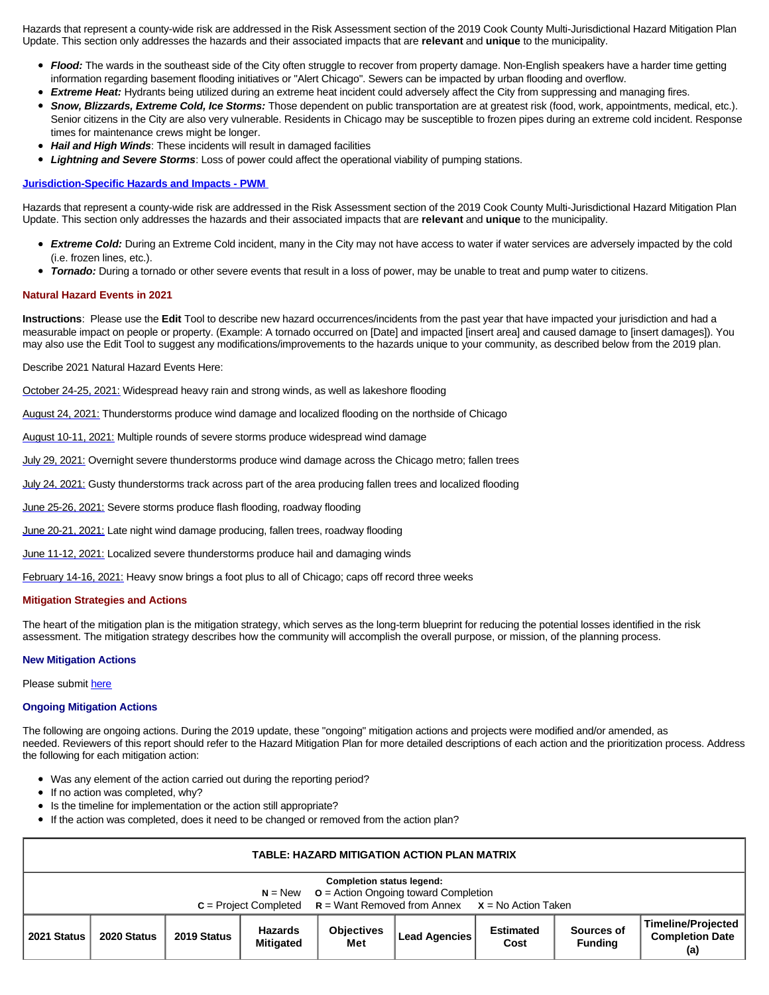Hazards that represent a county-wide risk are addressed in the Risk Assessment section of the 2019 Cook County Multi-Jurisdictional Hazard Mitigation Plan Update. This section only addresses the hazards and their associated impacts that are **relevant** and **unique** to the municipality.

- Flood: The wards in the southeast side of the City often struggle to recover from property damage. Non-English speakers have a harder time getting information regarding basement flooding initiatives or "Alert Chicago". Sewers can be impacted by urban flooding and overflow.
	- **Extreme Heat:** Hydrants being utilized during an extreme heat incident could adversely affect the City from suppressing and managing fires.
- *Snow, Blizzards, Extreme Cold, Ice Storms:* Those dependent on public transportation are at greatest risk (food, work, appointments, medical, etc.). Senior citizens in the City are also very vulnerable. Residents in Chicago may be susceptible to frozen pipes during an extreme cold incident. Response times for maintenance crews might be longer.
- *Hail and High Winds*: These incidents will result in damaged facilities
- *Lightning and Severe Storms*: Loss of power could affect the operational viability of pumping stations.

## **[Jurisdiction-Specific Hazards and Impacts - PWM](https://chicago.isc-cemp.com/FileOut/cemp/642/files/2019%20HMP%20Chicago/Chicago%20PWM%20Hazards.pdf/)**

Hazards that represent a county-wide risk are addressed in the Risk Assessment section of the 2019 Cook County Multi-Jurisdictional Hazard Mitigation Plan Update. This section only addresses the hazards and their associated impacts that are **relevant** and **unique** to the municipality.

- *Extreme Cold:* During an Extreme Cold incident, many in the City may not have access to water if water services are adversely impacted by the cold (i.e. frozen lines, etc.).
- *Tornado:* During a tornado or other severe events that result in a loss of power, may be unable to treat and pump water to citizens.  $\bullet$

## **Natural Hazard Events in 2021**

 $\bullet$ 

**Instructions**: Please use the **Edit** Tool to describe new hazard occurrences/incidents from the past year that have impacted your jurisdiction and had a measurable impact on people or property. (Example: A tornado occurred on [Date] and impacted [insert area] and caused damage to [insert damages]). You may also use the Edit Tool to suggest any modifications/improvements to the hazards unique to your community, as described below from the 2019 plan.

Describe 2021 Natural Hazard Events Here:

[October 24-25, 2021:](https://www.weather.gov/lot/2021oct2425) Widespread heavy rain and strong winds, as well as lakeshore flooding

[August 24, 2021:](https://www.weather.gov/lot/2021aug24) Thunderstorms produce wind damage and localized flooding on the northside of Chicago

[August 10-11, 2021:](https://www.weather.gov/lot/2021aug10-11) Multiple rounds of severe storms produce widespread wind damage

[July 29, 2021:](https://www.weather.gov/lot/29July2021_severewind) Overnight severe thunderstorms produce wind damage across the Chicago metro; fallen trees

[July 24, 2021:](https://www.weather.gov/lot/2021jul24) Gusty thunderstorms track across part of the area producing fallen trees and localized flooding

[June 25-26, 2021:](https://www.weather.gov/lot/2526June2021) Severe storms produce flash flooding, roadway flooding

[June 20-21, 2021:](https://www.weather.gov/lot/2021jun2021) Late night wind damage producing, fallen trees, roadway flooding

[June 11-12, 2021:](https://www.weather.gov/lot/11June2021) Localized severe thunderstorms produce hail and damaging winds

[February 14-16, 2021:](https://www.weather.gov/lot/Feb14-16_HeavySnow) Heavy snow brings a foot plus to all of Chicago; caps off record three weeks

## **Mitigation Strategies and Actions**

The heart of the mitigation plan is the mitigation strategy, which serves as the long-term blueprint for reducing the potential losses identified in the risk assessment. The mitigation strategy describes how the community will accomplish the overall purpose, or mission, of the planning process.

## **New Mitigation Actions**

Please submit [here](https://integratedsolutions.wufoo.com/forms/mg21jvf0jn639o/)

## **Ongoing Mitigation Actions**

The following are ongoing actions. During the 2019 update, these "ongoing" mitigation actions and projects were modified and/or amended, as needed. Reviewers of this report should refer to the Hazard Mitigation Plan for more detailed descriptions of each action and the prioritization process. Address the following for each mitigation action:

- Was any element of the action carried out during the reporting period?
- If no action was completed, why?
- Is the timeline for implementation or the action still appropriate?
- If the action was completed, does it need to be changed or removed from the action plan?

| TABLE: HAZARD MITIGATION ACTION PLAN MATRIX                                                                                                                         |             |             |                                    |                          |               |                          |                              |                                                            |  |  |
|---------------------------------------------------------------------------------------------------------------------------------------------------------------------|-------------|-------------|------------------------------------|--------------------------|---------------|--------------------------|------------------------------|------------------------------------------------------------|--|--|
| <b>Completion status legend:</b><br>$N = New$ $Q =$ Action Ongoing toward Completion<br>$C = Project Completed$ $R = Want Removed from Annex$ $X = No$ Action Taken |             |             |                                    |                          |               |                          |                              |                                                            |  |  |
| 2021 Status                                                                                                                                                         | 2020 Status | 2019 Status | <b>Hazards</b><br><b>Mitigated</b> | <b>Objectives</b><br>Met | Lead Agencies | <b>Estimated</b><br>Cost | Sources of<br><b>Funding</b> | <b>Timeline/Projected</b><br><b>Completion Date</b><br>(a) |  |  |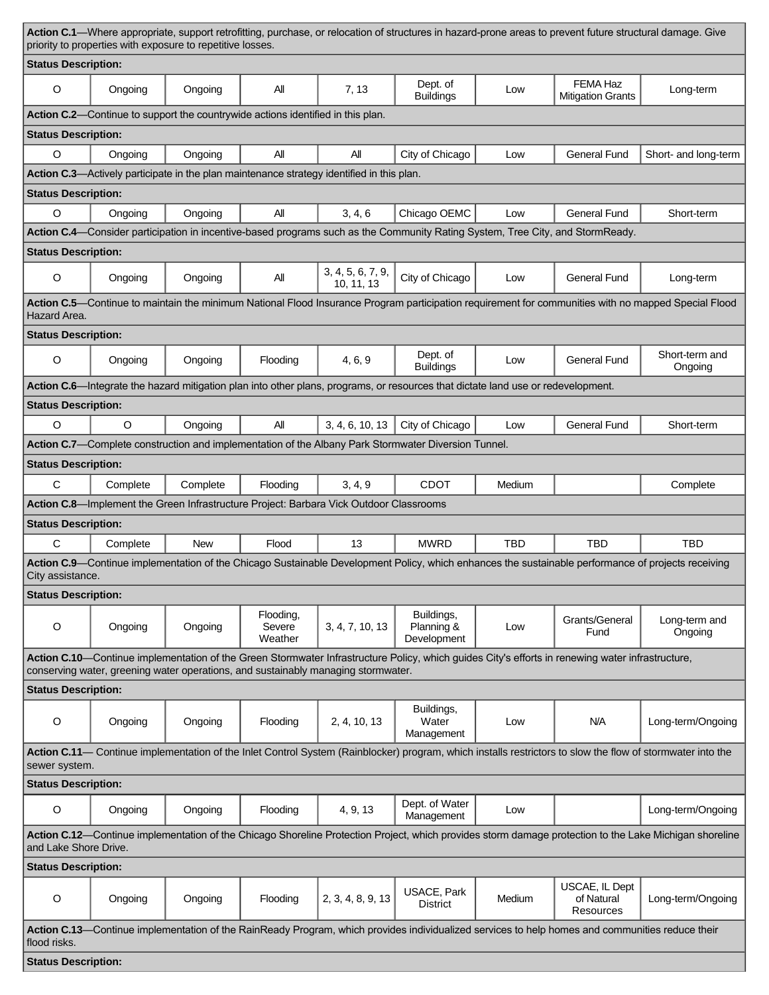| Action C.1—Where appropriate, support retrofitting, purchase, or relocation of structures in hazard-prone areas to prevent future structural damage. Give<br>priority to properties with exposure to repetitive losses. |                                                                                                                                                                                 |                                                                                 |                                |                                                                                           |                                                                                                                                  |            |                                                                                                                                                  |                                                                                                                                                     |  |
|-------------------------------------------------------------------------------------------------------------------------------------------------------------------------------------------------------------------------|---------------------------------------------------------------------------------------------------------------------------------------------------------------------------------|---------------------------------------------------------------------------------|--------------------------------|-------------------------------------------------------------------------------------------|----------------------------------------------------------------------------------------------------------------------------------|------------|--------------------------------------------------------------------------------------------------------------------------------------------------|-----------------------------------------------------------------------------------------------------------------------------------------------------|--|
| <b>Status Description:</b>                                                                                                                                                                                              |                                                                                                                                                                                 |                                                                                 |                                |                                                                                           |                                                                                                                                  |            |                                                                                                                                                  |                                                                                                                                                     |  |
| $\circ$                                                                                                                                                                                                                 | Ongoing                                                                                                                                                                         | Ongoing                                                                         | All                            | 7, 13                                                                                     | Dept. of<br><b>Buildings</b>                                                                                                     | Low        | FEMA Haz<br><b>Mitigation Grants</b>                                                                                                             | Long-term                                                                                                                                           |  |
|                                                                                                                                                                                                                         |                                                                                                                                                                                 | Action C.2—Continue to support the countrywide actions identified in this plan. |                                |                                                                                           |                                                                                                                                  |            |                                                                                                                                                  |                                                                                                                                                     |  |
| <b>Status Description:</b>                                                                                                                                                                                              |                                                                                                                                                                                 |                                                                                 |                                |                                                                                           |                                                                                                                                  |            |                                                                                                                                                  |                                                                                                                                                     |  |
| $\circ$                                                                                                                                                                                                                 | Ongoing                                                                                                                                                                         | Ongoing                                                                         | All                            | All                                                                                       | City of Chicago                                                                                                                  | Low        | <b>General Fund</b>                                                                                                                              | Short- and long-term                                                                                                                                |  |
|                                                                                                                                                                                                                         |                                                                                                                                                                                 |                                                                                 |                                | Action C.3—Actively participate in the plan maintenance strategy identified in this plan. |                                                                                                                                  |            |                                                                                                                                                  |                                                                                                                                                     |  |
| <b>Status Description:</b>                                                                                                                                                                                              |                                                                                                                                                                                 |                                                                                 |                                |                                                                                           |                                                                                                                                  |            |                                                                                                                                                  |                                                                                                                                                     |  |
| $\circ$                                                                                                                                                                                                                 | Ongoing                                                                                                                                                                         | Ongoing                                                                         | All                            | 3, 4, 6                                                                                   | Chicago OEMC                                                                                                                     | Low        | <b>General Fund</b>                                                                                                                              | Short-term                                                                                                                                          |  |
|                                                                                                                                                                                                                         |                                                                                                                                                                                 |                                                                                 |                                |                                                                                           |                                                                                                                                  |            | Action C.4—Consider participation in incentive-based programs such as the Community Rating System, Tree City, and StormReady.                    |                                                                                                                                                     |  |
| <b>Status Description:</b>                                                                                                                                                                                              |                                                                                                                                                                                 |                                                                                 |                                |                                                                                           |                                                                                                                                  |            |                                                                                                                                                  |                                                                                                                                                     |  |
| $\circ$                                                                                                                                                                                                                 | Ongoing                                                                                                                                                                         | Ongoing                                                                         | All                            | 3, 4, 5, 6, 7, 9,<br>10.11.13                                                             | City of Chicago                                                                                                                  | Low        | <b>General Fund</b>                                                                                                                              | Long-term                                                                                                                                           |  |
| Hazard Area.                                                                                                                                                                                                            |                                                                                                                                                                                 |                                                                                 |                                |                                                                                           |                                                                                                                                  |            |                                                                                                                                                  | Action C.5—Continue to maintain the minimum National Flood Insurance Program participation requirement for communities with no mapped Special Flood |  |
| <b>Status Description:</b>                                                                                                                                                                                              |                                                                                                                                                                                 |                                                                                 |                                |                                                                                           |                                                                                                                                  |            |                                                                                                                                                  |                                                                                                                                                     |  |
| $\circ$                                                                                                                                                                                                                 | Ongoing                                                                                                                                                                         | Ongoing                                                                         | Flooding                       | 4, 6, 9                                                                                   | Dept. of<br><b>Buildings</b>                                                                                                     | Low        | <b>General Fund</b>                                                                                                                              | Short-term and<br>Ongoing                                                                                                                           |  |
|                                                                                                                                                                                                                         |                                                                                                                                                                                 |                                                                                 |                                |                                                                                           | Action C.6—Integrate the hazard mitigation plan into other plans, programs, or resources that dictate land use or redevelopment. |            |                                                                                                                                                  |                                                                                                                                                     |  |
| <b>Status Description:</b>                                                                                                                                                                                              |                                                                                                                                                                                 |                                                                                 |                                |                                                                                           |                                                                                                                                  |            |                                                                                                                                                  |                                                                                                                                                     |  |
| $\circ$                                                                                                                                                                                                                 | $\circ$                                                                                                                                                                         | Ongoing                                                                         | All                            | 3, 4, 6, 10, 13                                                                           | City of Chicago                                                                                                                  | Low        | <b>General Fund</b>                                                                                                                              | Short-term                                                                                                                                          |  |
|                                                                                                                                                                                                                         |                                                                                                                                                                                 |                                                                                 |                                |                                                                                           | Action C.7—Complete construction and implementation of the Albany Park Stormwater Diversion Tunnel.                              |            |                                                                                                                                                  |                                                                                                                                                     |  |
| <b>Status Description:</b>                                                                                                                                                                                              |                                                                                                                                                                                 |                                                                                 |                                |                                                                                           |                                                                                                                                  |            |                                                                                                                                                  |                                                                                                                                                     |  |
| C                                                                                                                                                                                                                       | Complete                                                                                                                                                                        | Complete                                                                        | Flooding                       | 3, 4, 9                                                                                   | <b>CDOT</b>                                                                                                                      | Medium     |                                                                                                                                                  | Complete                                                                                                                                            |  |
|                                                                                                                                                                                                                         |                                                                                                                                                                                 |                                                                                 |                                | Action C.8-Implement the Green Infrastructure Project: Barbara Vick Outdoor Classrooms    |                                                                                                                                  |            |                                                                                                                                                  |                                                                                                                                                     |  |
| <b>Status Description:</b>                                                                                                                                                                                              |                                                                                                                                                                                 |                                                                                 |                                |                                                                                           |                                                                                                                                  |            |                                                                                                                                                  |                                                                                                                                                     |  |
| C                                                                                                                                                                                                                       | Complete                                                                                                                                                                        | <b>New</b>                                                                      | Flood                          | 13                                                                                        | <b>MWRD</b>                                                                                                                      | <b>TBD</b> | <b>TBD</b>                                                                                                                                       | <b>TBD</b>                                                                                                                                          |  |
| City assistance.                                                                                                                                                                                                        |                                                                                                                                                                                 |                                                                                 |                                |                                                                                           |                                                                                                                                  |            |                                                                                                                                                  | Action C.9—Continue implementation of the Chicago Sustainable Development Policy, which enhances the sustainable performance of projects receiving  |  |
| <b>Status Description:</b>                                                                                                                                                                                              |                                                                                                                                                                                 |                                                                                 |                                |                                                                                           |                                                                                                                                  |            |                                                                                                                                                  |                                                                                                                                                     |  |
| O                                                                                                                                                                                                                       | Ongoing                                                                                                                                                                         | Ongoing                                                                         | Flooding,<br>Severe<br>Weather | 3, 4, 7, 10, 13                                                                           | Buildings,<br>Planning &<br>Development                                                                                          | Low        | Grants/General<br>Fund                                                                                                                           | Long-term and<br>Ongoing                                                                                                                            |  |
|                                                                                                                                                                                                                         |                                                                                                                                                                                 |                                                                                 |                                |                                                                                           |                                                                                                                                  |            | Action C.10—Continue implementation of the Green Stormwater Infrastructure Policy, which guides City's efforts in renewing water infrastructure, |                                                                                                                                                     |  |
| <b>Status Description:</b>                                                                                                                                                                                              |                                                                                                                                                                                 |                                                                                 |                                | conserving water, greening water operations, and sustainably managing stormwater.         |                                                                                                                                  |            |                                                                                                                                                  |                                                                                                                                                     |  |
|                                                                                                                                                                                                                         |                                                                                                                                                                                 |                                                                                 |                                |                                                                                           | Buildings,                                                                                                                       |            |                                                                                                                                                  |                                                                                                                                                     |  |
| O                                                                                                                                                                                                                       | Ongoing                                                                                                                                                                         | Ongoing                                                                         | Flooding                       | 2, 4, 10, 13                                                                              | Water<br>Management                                                                                                              | Low        | N/A                                                                                                                                              | Long-term/Ongoing                                                                                                                                   |  |
| Action C.11— Continue implementation of the Inlet Control System (Rainblocker) program, which installs restrictors to slow the flow of stormwater into the<br>sewer system.                                             |                                                                                                                                                                                 |                                                                                 |                                |                                                                                           |                                                                                                                                  |            |                                                                                                                                                  |                                                                                                                                                     |  |
| <b>Status Description:</b>                                                                                                                                                                                              |                                                                                                                                                                                 |                                                                                 |                                |                                                                                           |                                                                                                                                  |            |                                                                                                                                                  |                                                                                                                                                     |  |
| $\circ$                                                                                                                                                                                                                 | Ongoing                                                                                                                                                                         | Ongoing                                                                         | Flooding                       | 4, 9, 13                                                                                  | Dept. of Water<br>Management                                                                                                     | Low        |                                                                                                                                                  | Long-term/Ongoing                                                                                                                                   |  |
|                                                                                                                                                                                                                         | Action C.12—Continue implementation of the Chicago Shoreline Protection Project, which provides storm damage protection to the Lake Michigan shoreline<br>and Lake Shore Drive. |                                                                                 |                                |                                                                                           |                                                                                                                                  |            |                                                                                                                                                  |                                                                                                                                                     |  |
| <b>Status Description:</b>                                                                                                                                                                                              |                                                                                                                                                                                 |                                                                                 |                                |                                                                                           |                                                                                                                                  |            |                                                                                                                                                  |                                                                                                                                                     |  |
| O                                                                                                                                                                                                                       | Ongoing                                                                                                                                                                         | Ongoing                                                                         | Flooding                       | 2, 3, 4, 8, 9, 13                                                                         | USACE, Park<br><b>District</b>                                                                                                   | Medium     | USCAE, IL Dept<br>of Natural<br>Resources                                                                                                        | Long-term/Ongoing                                                                                                                                   |  |
| flood risks.                                                                                                                                                                                                            |                                                                                                                                                                                 |                                                                                 |                                |                                                                                           |                                                                                                                                  |            | Action C.13—Continue implementation of the RainReady Program, which provides individualized services to help homes and communities reduce their  |                                                                                                                                                     |  |
|                                                                                                                                                                                                                         | <b>Status Description:</b>                                                                                                                                                      |                                                                                 |                                |                                                                                           |                                                                                                                                  |            |                                                                                                                                                  |                                                                                                                                                     |  |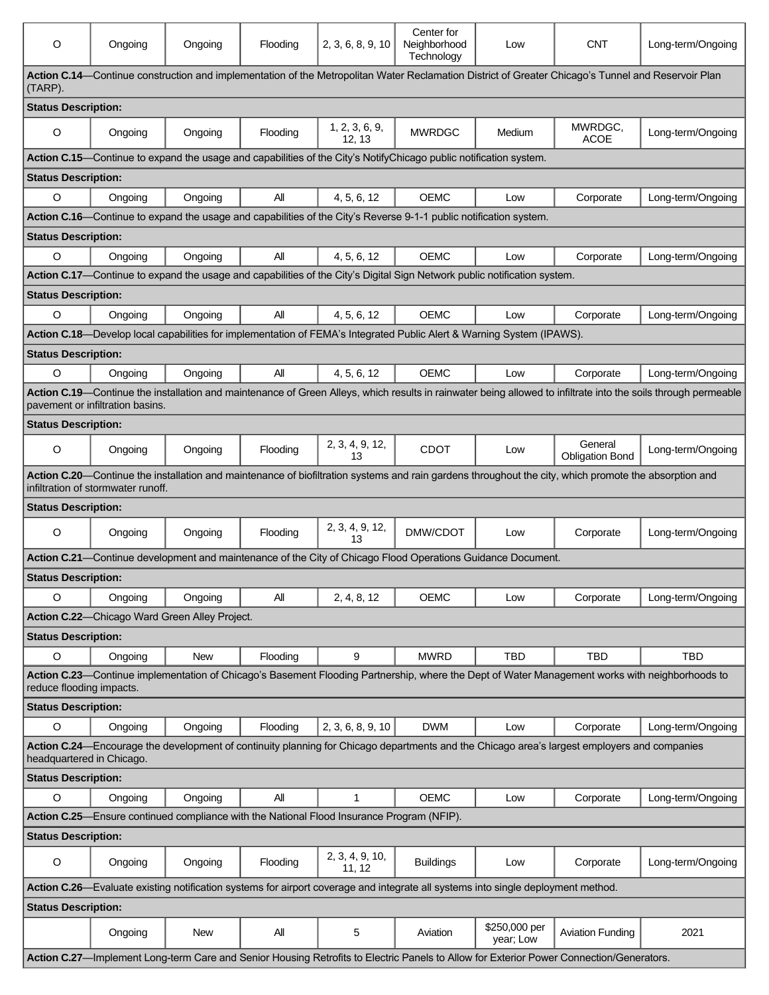| $\circ$                                                                                                                                                                  | Ongoing                            | Ongoing                                       | Flooding | 2, 3, 6, 8, 9, 10         | Center for<br>Neighborhood<br>Technology                                                                                         | Low                        | <b>CNT</b>                                                                                                                                            | Long-term/Ongoing                                                                                                                                              |  |
|--------------------------------------------------------------------------------------------------------------------------------------------------------------------------|------------------------------------|-----------------------------------------------|----------|---------------------------|----------------------------------------------------------------------------------------------------------------------------------|----------------------------|-------------------------------------------------------------------------------------------------------------------------------------------------------|----------------------------------------------------------------------------------------------------------------------------------------------------------------|--|
| Action C.14—Continue construction and implementation of the Metropolitan Water Reclamation District of Greater Chicago's Tunnel and Reservoir Plan<br>(TARP).            |                                    |                                               |          |                           |                                                                                                                                  |                            |                                                                                                                                                       |                                                                                                                                                                |  |
| <b>Status Description:</b>                                                                                                                                               |                                    |                                               |          |                           |                                                                                                                                  |                            |                                                                                                                                                       |                                                                                                                                                                |  |
| O                                                                                                                                                                        | Ongoing                            | Ongoing                                       | Flooding | 1, 2, 3, 6, 9,<br>12, 13  | <b>MWRDGC</b>                                                                                                                    | Medium                     | MWRDGC,<br><b>ACOE</b>                                                                                                                                | Long-term/Ongoing                                                                                                                                              |  |
|                                                                                                                                                                          |                                    |                                               |          |                           | Action C.15—Continue to expand the usage and capabilities of the City's NotifyChicago public notification system.                |                            |                                                                                                                                                       |                                                                                                                                                                |  |
| <b>Status Description:</b>                                                                                                                                               |                                    |                                               |          |                           |                                                                                                                                  |                            |                                                                                                                                                       |                                                                                                                                                                |  |
| $\circ$                                                                                                                                                                  | Ongoing                            | Ongoing                                       | All      | 4, 5, 6, 12               | <b>OEMC</b>                                                                                                                      | Low                        | Corporate                                                                                                                                             | Long-term/Ongoing                                                                                                                                              |  |
|                                                                                                                                                                          |                                    |                                               |          |                           | Action C.16—Continue to expand the usage and capabilities of the City's Reverse 9-1-1 public notification system.                |                            |                                                                                                                                                       |                                                                                                                                                                |  |
| <b>Status Description:</b>                                                                                                                                               |                                    |                                               |          |                           |                                                                                                                                  |                            |                                                                                                                                                       |                                                                                                                                                                |  |
| $\circ$                                                                                                                                                                  | Ongoing                            | Ongoing                                       | All      | 4, 5, 6, 12               | <b>OEMC</b>                                                                                                                      | Low                        | Corporate                                                                                                                                             | Long-term/Ongoing                                                                                                                                              |  |
|                                                                                                                                                                          |                                    |                                               |          |                           | Action C.17-Continue to expand the usage and capabilities of the City's Digital Sign Network public notification system.         |                            |                                                                                                                                                       |                                                                                                                                                                |  |
| <b>Status Description:</b>                                                                                                                                               |                                    |                                               |          |                           |                                                                                                                                  |                            |                                                                                                                                                       |                                                                                                                                                                |  |
| $\circ$                                                                                                                                                                  | Ongoing                            | Ongoing                                       | All      | 4, 5, 6, 12               | OFMC                                                                                                                             | Low                        | Corporate                                                                                                                                             | Long-term/Ongoing                                                                                                                                              |  |
|                                                                                                                                                                          |                                    |                                               |          |                           | Action C.18—Develop local capabilities for implementation of FEMA's Integrated Public Alert & Warning System (IPAWS).            |                            |                                                                                                                                                       |                                                                                                                                                                |  |
| <b>Status Description:</b>                                                                                                                                               |                                    |                                               |          |                           |                                                                                                                                  |                            |                                                                                                                                                       |                                                                                                                                                                |  |
| $\circ$                                                                                                                                                                  | Ongoing                            | Ongoing                                       | All      | 4, 5, 6, 12               | <b>OEMC</b>                                                                                                                      | Low                        | Corporate                                                                                                                                             | Long-term/Ongoing                                                                                                                                              |  |
|                                                                                                                                                                          | pavement or infiltration basins.   |                                               |          |                           |                                                                                                                                  |                            |                                                                                                                                                       | Action C.19-Continue the installation and maintenance of Green Alleys, which results in rainwater being allowed to infiltrate into the soils through permeable |  |
| <b>Status Description:</b>                                                                                                                                               |                                    |                                               |          |                           |                                                                                                                                  |                            |                                                                                                                                                       |                                                                                                                                                                |  |
| $\circ$                                                                                                                                                                  | Ongoing                            | Ongoing                                       | Flooding | 2, 3, 4, 9, 12,<br>13     | <b>CDOT</b>                                                                                                                      | Low                        | General<br><b>Obligation Bond</b>                                                                                                                     | Long-term/Ongoing                                                                                                                                              |  |
|                                                                                                                                                                          | infiltration of stormwater runoff. |                                               |          |                           |                                                                                                                                  |                            | Action C.20—Continue the installation and maintenance of biofiltration systems and rain gardens throughout the city, which promote the absorption and |                                                                                                                                                                |  |
| <b>Status Description:</b>                                                                                                                                               |                                    |                                               |          |                           |                                                                                                                                  |                            |                                                                                                                                                       |                                                                                                                                                                |  |
| $\circ$                                                                                                                                                                  | Ongoing                            | Ongoing                                       | Flooding | 2, 3, 4, 9, 12,<br>13     | DMW/CDOT                                                                                                                         | Low                        | Corporate                                                                                                                                             | Long-term/Ongoing                                                                                                                                              |  |
| Action C.21-Continue development and maintenance of the City of Chicago Flood Operations Guidance Document.                                                              |                                    |                                               |          |                           |                                                                                                                                  |                            |                                                                                                                                                       |                                                                                                                                                                |  |
| <b>Status Description:</b>                                                                                                                                               |                                    |                                               |          |                           |                                                                                                                                  |                            |                                                                                                                                                       |                                                                                                                                                                |  |
| O                                                                                                                                                                        | Ongoing                            | Ongoing                                       | All      | 2, 4, 8, 12               | <b>OEMC</b>                                                                                                                      | Low                        | Corporate                                                                                                                                             | Long-term/Ongoing                                                                                                                                              |  |
|                                                                                                                                                                          |                                    | Action C.22-Chicago Ward Green Alley Project. |          |                           |                                                                                                                                  |                            |                                                                                                                                                       |                                                                                                                                                                |  |
| <b>Status Description:</b>                                                                                                                                               |                                    |                                               |          |                           |                                                                                                                                  |                            |                                                                                                                                                       |                                                                                                                                                                |  |
| $\circ$                                                                                                                                                                  | Ongoing                            | <b>New</b>                                    | Flooding | 9                         | <b>MWRD</b>                                                                                                                      | <b>TBD</b>                 | <b>TBD</b>                                                                                                                                            | <b>TBD</b>                                                                                                                                                     |  |
| reduce flooding impacts.                                                                                                                                                 |                                    |                                               |          |                           |                                                                                                                                  |                            |                                                                                                                                                       | Action C.23—Continue implementation of Chicago's Basement Flooding Partnership, where the Dept of Water Management works with neighborhoods to                 |  |
| <b>Status Description:</b>                                                                                                                                               |                                    |                                               |          |                           |                                                                                                                                  |                            |                                                                                                                                                       |                                                                                                                                                                |  |
| $\circ$                                                                                                                                                                  | Ongoing                            | Ongoing                                       | Flooding | 2, 3, 6, 8, 9, 10         | <b>DWM</b>                                                                                                                       | Low                        | Corporate                                                                                                                                             | Long-term/Ongoing                                                                                                                                              |  |
| Action C.24—Encourage the development of continuity planning for Chicago departments and the Chicago area's largest employers and companies<br>headquartered in Chicago. |                                    |                                               |          |                           |                                                                                                                                  |                            |                                                                                                                                                       |                                                                                                                                                                |  |
| <b>Status Description:</b>                                                                                                                                               |                                    |                                               |          |                           |                                                                                                                                  |                            |                                                                                                                                                       |                                                                                                                                                                |  |
| O                                                                                                                                                                        | Ongoing                            | Ongoing                                       | All      | $\mathbf{1}$              | <b>OEMC</b>                                                                                                                      | Low                        | Corporate                                                                                                                                             | Long-term/Ongoing                                                                                                                                              |  |
| Action C.25—Ensure continued compliance with the National Flood Insurance Program (NFIP).                                                                                |                                    |                                               |          |                           |                                                                                                                                  |                            |                                                                                                                                                       |                                                                                                                                                                |  |
| <b>Status Description:</b>                                                                                                                                               |                                    |                                               |          |                           |                                                                                                                                  |                            |                                                                                                                                                       |                                                                                                                                                                |  |
| $\circ$                                                                                                                                                                  | Ongoing                            | Ongoing                                       | Flooding | 2, 3, 4, 9, 10,<br>11, 12 | <b>Buildings</b>                                                                                                                 | Low                        | Corporate                                                                                                                                             | Long-term/Ongoing                                                                                                                                              |  |
|                                                                                                                                                                          |                                    |                                               |          |                           | Action C.26—Evaluate existing notification systems for airport coverage and integrate all systems into single deployment method. |                            |                                                                                                                                                       |                                                                                                                                                                |  |
| <b>Status Description:</b>                                                                                                                                               |                                    |                                               |          |                           |                                                                                                                                  |                            |                                                                                                                                                       |                                                                                                                                                                |  |
|                                                                                                                                                                          | Ongoing                            | New                                           | All      | 5                         | Aviation                                                                                                                         | \$250,000 per<br>year; Low | <b>Aviation Funding</b>                                                                                                                               | 2021                                                                                                                                                           |  |
|                                                                                                                                                                          |                                    |                                               |          |                           |                                                                                                                                  |                            | Action C.27-Implement Long-term Care and Senior Housing Retrofits to Electric Panels to Allow for Exterior Power Connection/Generators.               |                                                                                                                                                                |  |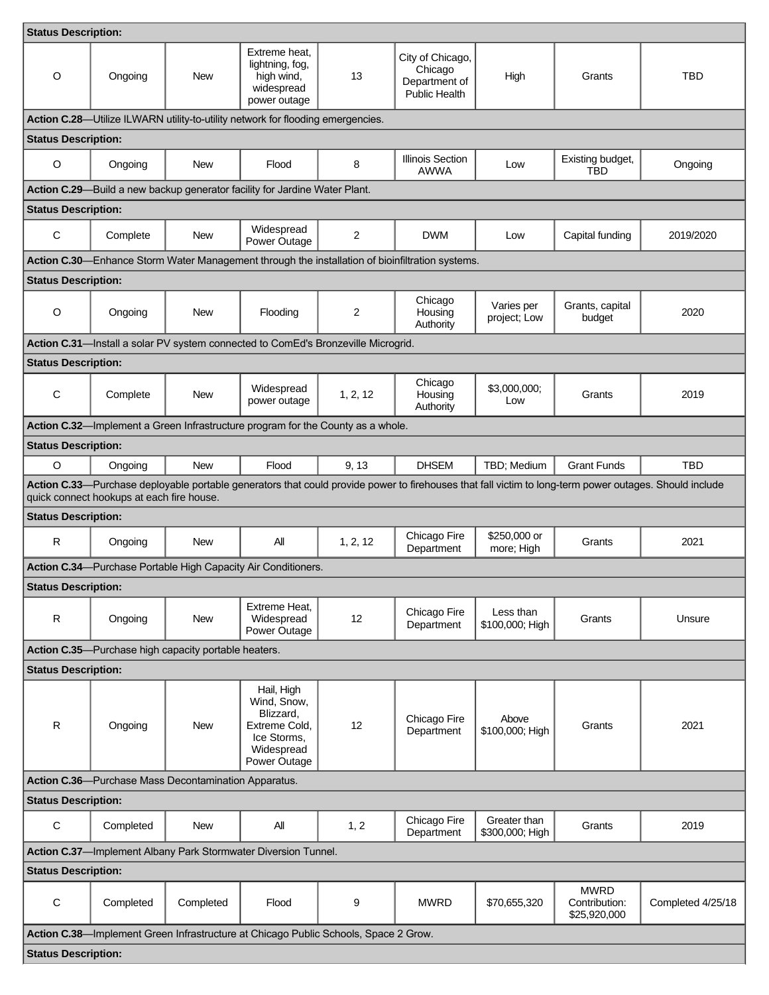| <b>Status Description:</b>                                                                                                                                                                          |                            |                                                      |                                                                                                      |                |                                                                                                 |                                 |                                              |                   |  |
|-----------------------------------------------------------------------------------------------------------------------------------------------------------------------------------------------------|----------------------------|------------------------------------------------------|------------------------------------------------------------------------------------------------------|----------------|-------------------------------------------------------------------------------------------------|---------------------------------|----------------------------------------------|-------------------|--|
| $\circ$                                                                                                                                                                                             | Ongoing                    | <b>New</b>                                           | Extreme heat,<br>lightning, fog,<br>high wind,<br>widespread<br>power outage                         | 13             | City of Chicago,<br>Chicago<br>Department of<br><b>Public Health</b>                            | High                            | Grants                                       | TBD               |  |
|                                                                                                                                                                                                     |                            |                                                      | Action C.28-Utilize ILWARN utility-to-utility network for flooding emergencies.                      |                |                                                                                                 |                                 |                                              |                   |  |
| <b>Status Description:</b>                                                                                                                                                                          |                            |                                                      |                                                                                                      |                |                                                                                                 |                                 |                                              |                   |  |
| $\circ$                                                                                                                                                                                             | Ongoing                    | <b>New</b>                                           | Flood                                                                                                | 8              | <b>Illinois Section</b><br><b>AWWA</b>                                                          | Low                             | Existing budget,<br><b>TBD</b>               | Ongoing           |  |
|                                                                                                                                                                                                     |                            |                                                      | Action C.29-Build a new backup generator facility for Jardine Water Plant.                           |                |                                                                                                 |                                 |                                              |                   |  |
|                                                                                                                                                                                                     | <b>Status Description:</b> |                                                      |                                                                                                      |                |                                                                                                 |                                 |                                              |                   |  |
| С                                                                                                                                                                                                   | Complete                   | New                                                  | Widespread<br>Power Outage                                                                           | $\overline{2}$ | <b>DWM</b>                                                                                      | Low                             | Capital funding                              | 2019/2020         |  |
|                                                                                                                                                                                                     |                            |                                                      |                                                                                                      |                | Action C.30—Enhance Storm Water Management through the installation of bioinfiltration systems. |                                 |                                              |                   |  |
| <b>Status Description:</b>                                                                                                                                                                          |                            |                                                      |                                                                                                      |                |                                                                                                 |                                 |                                              |                   |  |
| $\circ$                                                                                                                                                                                             | Ongoing                    | New                                                  | Flooding                                                                                             | $\overline{2}$ | Chicago<br>Housing<br>Authority                                                                 | Varies per<br>project; Low      | Grants, capital<br>budget                    | 2020              |  |
|                                                                                                                                                                                                     |                            |                                                      | Action C.31-Install a solar PV system connected to ComEd's Bronzeville Microgrid.                    |                |                                                                                                 |                                 |                                              |                   |  |
| <b>Status Description:</b>                                                                                                                                                                          |                            |                                                      |                                                                                                      |                |                                                                                                 |                                 |                                              |                   |  |
| С                                                                                                                                                                                                   | Complete                   | New                                                  | Widespread<br>power outage                                                                           | 1, 2, 12       | Chicago<br>Housing<br>Authority                                                                 | \$3,000,000;<br>Low             | Grants                                       | 2019              |  |
|                                                                                                                                                                                                     |                            |                                                      | Action C.32—Implement a Green Infrastructure program for the County as a whole.                      |                |                                                                                                 |                                 |                                              |                   |  |
| <b>Status Description:</b>                                                                                                                                                                          |                            |                                                      |                                                                                                      |                |                                                                                                 |                                 |                                              |                   |  |
| O                                                                                                                                                                                                   | Ongoing                    | <b>New</b>                                           | Flood                                                                                                | 9, 13          | <b>DHSEM</b>                                                                                    | TBD; Medium                     | <b>Grant Funds</b>                           | <b>TBD</b>        |  |
| Action C.33—Purchase deployable portable generators that could provide power to firehouses that fall victim to long-term power outages. Should include<br>quick connect hookups at each fire house. |                            |                                                      |                                                                                                      |                |                                                                                                 |                                 |                                              |                   |  |
| <b>Status Description:</b>                                                                                                                                                                          |                            |                                                      |                                                                                                      |                |                                                                                                 |                                 |                                              |                   |  |
| $\mathsf{R}$                                                                                                                                                                                        | Ongoing                    | <b>New</b>                                           | All                                                                                                  | 1, 2, 12       | Chicago Fire<br>Department                                                                      | \$250,000 or<br>more; High      | Grants                                       | 2021              |  |
| Action C.34-Purchase Portable High Capacity Air Conditioners.                                                                                                                                       |                            |                                                      |                                                                                                      |                |                                                                                                 |                                 |                                              |                   |  |
| <b>Status Description:</b>                                                                                                                                                                          |                            |                                                      |                                                                                                      |                |                                                                                                 |                                 |                                              |                   |  |
| $\mathsf R$                                                                                                                                                                                         | Ongoing                    | <b>New</b>                                           | Extreme Heat,<br>Widespread<br>Power Outage                                                          | 12             | Chicago Fire<br>Department                                                                      | Less than<br>\$100,000; High    | Grants                                       | Unsure            |  |
|                                                                                                                                                                                                     |                            | Action C.35-Purchase high capacity portable heaters. |                                                                                                      |                |                                                                                                 |                                 |                                              |                   |  |
| <b>Status Description:</b>                                                                                                                                                                          |                            |                                                      |                                                                                                      |                |                                                                                                 |                                 |                                              |                   |  |
| R                                                                                                                                                                                                   | Ongoing                    | New                                                  | Hail, High<br>Wind, Snow,<br>Blizzard.<br>Extreme Cold.<br>Ice Storms,<br>Widespread<br>Power Outage | 12             | Chicago Fire<br>Department                                                                      | Above<br>\$100,000; High        | Grants                                       | 2021              |  |
| Action C.36-Purchase Mass Decontamination Apparatus.                                                                                                                                                |                            |                                                      |                                                                                                      |                |                                                                                                 |                                 |                                              |                   |  |
| <b>Status Description:</b>                                                                                                                                                                          |                            |                                                      |                                                                                                      |                |                                                                                                 |                                 |                                              |                   |  |
| С                                                                                                                                                                                                   | Completed                  | New                                                  | All                                                                                                  | 1, 2           | Chicago Fire<br>Department                                                                      | Greater than<br>\$300,000; High | Grants                                       | 2019              |  |
|                                                                                                                                                                                                     |                            |                                                      | Action C.37-Implement Albany Park Stormwater Diversion Tunnel.                                       |                |                                                                                                 |                                 |                                              |                   |  |
| <b>Status Description:</b>                                                                                                                                                                          |                            |                                                      |                                                                                                      |                |                                                                                                 |                                 |                                              |                   |  |
| C                                                                                                                                                                                                   | Completed                  | Completed                                            | Flood                                                                                                | 9              | <b>MWRD</b>                                                                                     | \$70,655,320                    | <b>MWRD</b><br>Contribution:<br>\$25,920,000 | Completed 4/25/18 |  |
|                                                                                                                                                                                                     |                            |                                                      | Action C.38-Implement Green Infrastructure at Chicago Public Schools, Space 2 Grow.                  |                |                                                                                                 |                                 |                                              |                   |  |
| <b>Status Description:</b>                                                                                                                                                                          |                            |                                                      |                                                                                                      |                |                                                                                                 |                                 |                                              |                   |  |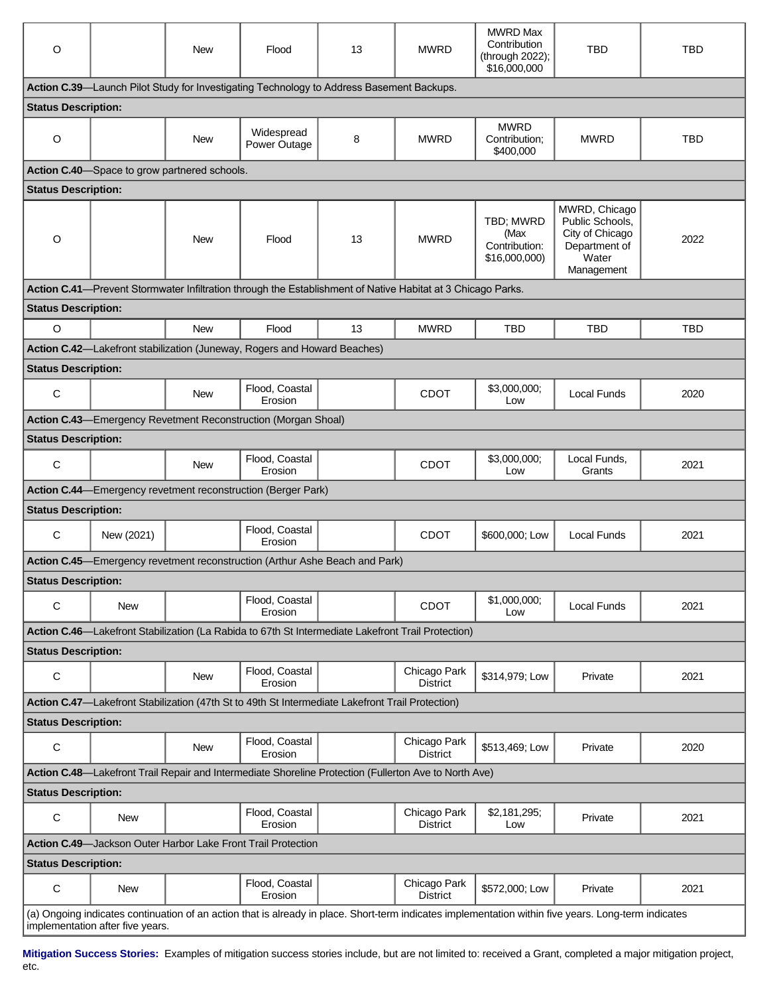| O                                                                                                                                                                                        |            | New                                          | Flood                                                                                              | 13 | <b>MWRD</b>                                                                                                 | <b>MWRD Max</b><br>Contribution<br>(through 2022);<br>\$16,000,000 | <b>TBD</b>                                                                                  | <b>TBD</b> |  |
|------------------------------------------------------------------------------------------------------------------------------------------------------------------------------------------|------------|----------------------------------------------|----------------------------------------------------------------------------------------------------|----|-------------------------------------------------------------------------------------------------------------|--------------------------------------------------------------------|---------------------------------------------------------------------------------------------|------------|--|
|                                                                                                                                                                                          |            |                                              | Action C.39—Launch Pilot Study for Investigating Technology to Address Basement Backups.           |    |                                                                                                             |                                                                    |                                                                                             |            |  |
| <b>Status Description:</b>                                                                                                                                                               |            |                                              |                                                                                                    |    |                                                                                                             |                                                                    |                                                                                             |            |  |
| O                                                                                                                                                                                        |            | <b>New</b>                                   | Widespread<br>Power Outage                                                                         | 8  | <b>MWRD</b>                                                                                                 | <b>MWRD</b><br>Contribution:<br>\$400,000                          | <b>MWRD</b>                                                                                 | <b>TBD</b> |  |
|                                                                                                                                                                                          |            | Action C.40-Space to grow partnered schools. |                                                                                                    |    |                                                                                                             |                                                                    |                                                                                             |            |  |
| <b>Status Description:</b>                                                                                                                                                               |            |                                              |                                                                                                    |    |                                                                                                             |                                                                    |                                                                                             |            |  |
| $\circ$                                                                                                                                                                                  |            | <b>New</b>                                   | Flood                                                                                              | 13 | <b>MWRD</b>                                                                                                 | TBD; MWRD<br>(Max<br>Contribution:<br>\$16,000,000)                | MWRD, Chicago<br>Public Schools,<br>City of Chicago<br>Department of<br>Water<br>Management | 2022       |  |
|                                                                                                                                                                                          |            |                                              |                                                                                                    |    | Action C.41—Prevent Stormwater Infiltration through the Establishment of Native Habitat at 3 Chicago Parks. |                                                                    |                                                                                             |            |  |
| <b>Status Description:</b>                                                                                                                                                               |            |                                              |                                                                                                    |    |                                                                                                             |                                                                    |                                                                                             |            |  |
| $\circ$                                                                                                                                                                                  |            | <b>New</b>                                   | Flood                                                                                              | 13 | <b>MWRD</b>                                                                                                 | TBD                                                                | TBD                                                                                         | <b>TBD</b> |  |
|                                                                                                                                                                                          |            |                                              | Action C.42-Lakefront stabilization (Juneway, Rogers and Howard Beaches)                           |    |                                                                                                             |                                                                    |                                                                                             |            |  |
| <b>Status Description:</b>                                                                                                                                                               |            |                                              |                                                                                                    |    |                                                                                                             |                                                                    |                                                                                             |            |  |
| C                                                                                                                                                                                        |            | <b>New</b>                                   | Flood, Coastal<br>Erosion                                                                          |    | <b>CDOT</b>                                                                                                 | \$3,000,000;<br>Low                                                | <b>Local Funds</b>                                                                          | 2020       |  |
|                                                                                                                                                                                          |            |                                              | Action C.43—Emergency Revetment Reconstruction (Morgan Shoal)                                      |    |                                                                                                             |                                                                    |                                                                                             |            |  |
| <b>Status Description:</b>                                                                                                                                                               |            |                                              |                                                                                                    |    |                                                                                                             |                                                                    |                                                                                             |            |  |
| C                                                                                                                                                                                        |            | <b>New</b>                                   | Flood, Coastal<br>Erosion                                                                          |    | <b>CDOT</b>                                                                                                 | \$3,000,000;<br>Low                                                | Local Funds,<br>Grants                                                                      | 2021       |  |
|                                                                                                                                                                                          |            |                                              | <b>Action C.44—Emergency revetment reconstruction (Berger Park)</b>                                |    |                                                                                                             |                                                                    |                                                                                             |            |  |
| <b>Status Description:</b>                                                                                                                                                               |            |                                              |                                                                                                    |    |                                                                                                             |                                                                    |                                                                                             |            |  |
| С                                                                                                                                                                                        | New (2021) |                                              | Flood, Coastal<br>Erosion                                                                          |    | CDOT                                                                                                        | \$600,000; Low                                                     | <b>Local Funds</b>                                                                          | 2021       |  |
| Action C.45—Emergency revetment reconstruction (Arthur Ashe Beach and Park)                                                                                                              |            |                                              |                                                                                                    |    |                                                                                                             |                                                                    |                                                                                             |            |  |
| <b>Status Description:</b>                                                                                                                                                               |            |                                              |                                                                                                    |    |                                                                                                             |                                                                    |                                                                                             |            |  |
| C                                                                                                                                                                                        | <b>New</b> |                                              | Flood, Coastal<br>Erosion                                                                          |    | <b>CDOT</b>                                                                                                 | \$1,000,000;<br>Low                                                | Local Funds                                                                                 | 2021       |  |
|                                                                                                                                                                                          |            |                                              | Action C.46—Lakefront Stabilization (La Rabida to 67th St Intermediate Lakefront Trail Protection) |    |                                                                                                             |                                                                    |                                                                                             |            |  |
| <b>Status Description:</b>                                                                                                                                                               |            |                                              |                                                                                                    |    |                                                                                                             |                                                                    |                                                                                             |            |  |
| С                                                                                                                                                                                        |            | New                                          | Flood, Coastal<br>Erosion                                                                          |    | Chicago Park<br><b>District</b>                                                                             | \$314,979; Low                                                     | Private                                                                                     | 2021       |  |
|                                                                                                                                                                                          |            |                                              | Action C.47-Lakefront Stabilization (47th St to 49th St Intermediate Lakefront Trail Protection)   |    |                                                                                                             |                                                                    |                                                                                             |            |  |
| <b>Status Description:</b>                                                                                                                                                               |            |                                              |                                                                                                    |    |                                                                                                             |                                                                    |                                                                                             |            |  |
| C                                                                                                                                                                                        |            | <b>New</b>                                   | Flood, Coastal<br>Erosion                                                                          |    | Chicago Park<br><b>District</b>                                                                             | \$513,469; Low                                                     | Private                                                                                     | 2020       |  |
|                                                                                                                                                                                          |            |                                              |                                                                                                    |    | Action C.48—Lakefront Trail Repair and Intermediate Shoreline Protection (Fullerton Ave to North Ave)       |                                                                    |                                                                                             |            |  |
| <b>Status Description:</b>                                                                                                                                                               |            |                                              |                                                                                                    |    |                                                                                                             |                                                                    |                                                                                             |            |  |
| C                                                                                                                                                                                        | New        |                                              | Flood, Coastal<br>Erosion                                                                          |    | Chicago Park<br><b>District</b>                                                                             | \$2,181,295;<br>Low                                                | Private                                                                                     | 2021       |  |
| <b>Action C.49</b> —Jackson Outer Harbor Lake Front Trail Protection                                                                                                                     |            |                                              |                                                                                                    |    |                                                                                                             |                                                                    |                                                                                             |            |  |
| <b>Status Description:</b>                                                                                                                                                               |            |                                              |                                                                                                    |    |                                                                                                             |                                                                    |                                                                                             |            |  |
| С                                                                                                                                                                                        | <b>New</b> |                                              | Flood, Coastal<br>Erosion                                                                          |    | Chicago Park<br><b>District</b>                                                                             | \$572,000; Low                                                     | Private                                                                                     | 2021       |  |
| (a) Ongoing indicates continuation of an action that is already in place. Short-term indicates implementation within five years. Long-term indicates<br>implementation after five years. |            |                                              |                                                                                                    |    |                                                                                                             |                                                                    |                                                                                             |            |  |

**Mitigation Success Stories:** Examples of mitigation success stories include, but are not limited to: received a Grant, completed a major mitigation project, etc.